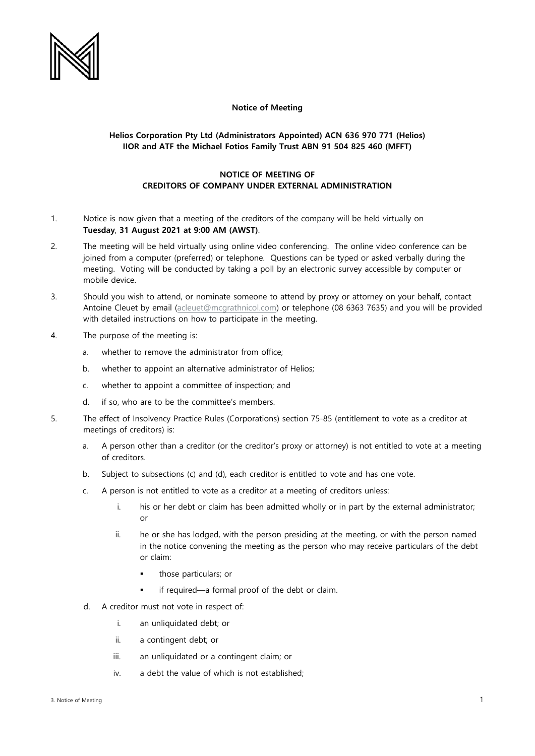

## **Notice of Meeting**

## **Helios Corporation Pty Ltd (Administrators Appointed) ACN 636 970 771 (Helios) IIOR and ATF the Michael Fotios Family Trust ABN 91 504 825 460 (MFFT)**

## **NOTICE OF MEETING OF CREDITORS OF COMPANY UNDER EXTERNAL ADMINISTRATION**

- 1. Notice is now given that a meeting of the creditors of the company will be held virtually on **Tuesday**, **31 August 2021 at 9:00 AM (AWST)**.
- 2. The meeting will be held virtually using online video conferencing. The online video conference can be joined from a computer (preferred) or telephone. Questions can be typed or asked verbally during the meeting. Voting will be conducted by taking a poll by an electronic survey accessible by computer or mobile device.
- 3. Should you wish to attend, or nominate someone to attend by proxy or attorney on your behalf, contact Antoine Cleuet by email [\(acleuet@mcgrathnicol.com\)](mailto:acleuet@mcgrathnicol.com) or telephone (08 6363 7635) and you will be provided with detailed instructions on how to participate in the meeting.
- 4. The purpose of the meeting is:
	- a. whether to remove the administrator from office;
	- b. whether to appoint an alternative administrator of Helios;
	- c. whether to appoint a committee of inspection; and
	- d. if so, who are to be the committee's members.
- 5. The effect of Insolvency Practice Rules (Corporations) section 75-85 (entitlement to vote as a creditor at meetings of creditors) is:
	- a. A person other than a creditor (or the creditor's proxy or attorney) is not entitled to vote at a meeting of creditors.
	- b. Subject to subsections (c) and (d), each creditor is entitled to vote and has one vote.
	- c. A person is not entitled to vote as a creditor at a meeting of creditors unless:
		- i. his or her debt or claim has been admitted wholly or in part by the external administrator; or
		- ii. he or she has lodged, with the person presiding at the meeting, or with the person named in the notice convening the meeting as the person who may receive particulars of the debt or claim:
			- those particulars; or
			- if required—a formal proof of the debt or claim.
	- d. A creditor must not vote in respect of:
		- i. an unliquidated debt; or
		- ii. a contingent debt; or
		- iii. an unliquidated or a contingent claim; or
		- iv. a debt the value of which is not established;